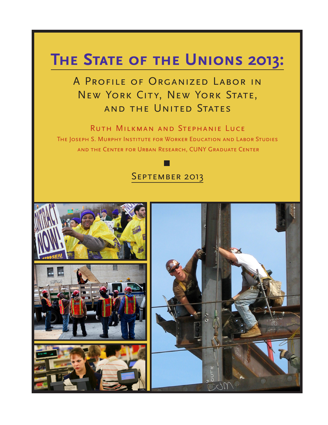# **The State of the Unions 2013:**

# A Profile of Organized Labor in New York City, New York State, and the United States

Ruth Milkman and Stephanie Luce The Joseph S. Murphy Institute for Worker Education and Labor Studies and the Center for Urban Research, CUNY Graduate Center

# SEPTEMBER 2013

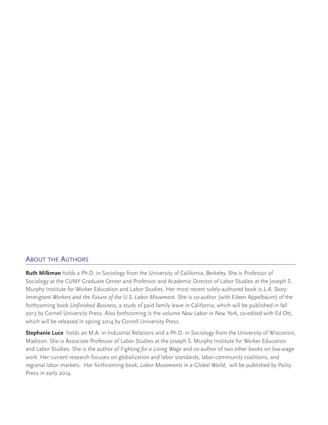## ABOUT THE AUTHORS

**Ruth Milkman** holds a Ph.D. in Sociology from the University of California, Berkeley. She is Professor of Sociology at the CUNY Graduate Center and Professor and Academic Director of Labor Studies at the Joseph S. Murphy Institute for Worker Education and Labor Studies. Her most recent solely-authored book is *L.A. Story: Immigrant Workers and the Future of the U.S. Labor Movement. She is co-author (with Eileen Appelbaum) of the* forthcoming book *Unfinished Business,* a study of paid family leave in California, which will be published in fall 2013 by Cornell University Press. Also forthcoming is the volume *New Labor in New York,* co-edited with Ed Ott, which will be released in spring 2014 by Cornell University Press.

**Stephanie Luce** holds an M.A. in Industrial Relations and a Ph.D. in Sociology from the University of Wisconsin, Madison. She is Associate Professor of Labor Studies at the Joseph S. Murphy Institute for Worker Education and Labor Studies. She is the author of *Fighting for a Living Wage* and co-author of two other books on low-wage work. Her current research focuses on globalization and labor standards, labor-community coalitions, and regional labor markets. Her forthcoming book, *Labor Movements in a Global World,* will be published by Polity Press in early 2014.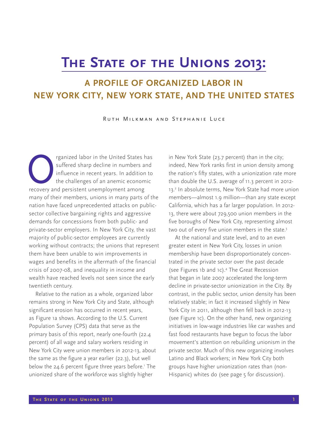# **The State of the Unions 2013:**

# **A PROFILE OF ORGANIZED LABOR IN NEW YORK CITY, NEW YORK STATE, AND THE UNITED STATES**

Ruth Milkman and Stephanie Luce

reganized labor in the United States has suffered sharp decline in numbers and influence in recent years. In addition to the challenges of an anemic economic recovery and persistent unemployment among suffered sharp decline in numbers and influence in recent years. In addition to the challenges of an anemic economic many of their members, unions in many parts of the nation have faced unprecedented attacks on publicsector collective bargaining rights and aggressive demands for concessions from both public- and private-sector employers. In New York City, the vast majority of public-sector employees are currently working without contracts; the unions that represent them have been unable to win improvements in wages and benefits in the aftermath of the financial crisis of 2007-08, and inequality in income and wealth have reached levels not seen since the early twentieth century.

Relative to the nation as a whole, organized labor remains strong in New York City and State, although significant erosion has occurred in recent years, as Figure 1a shows. According to the U.S. Current Population Survey (CPS) data that serve as the primary basis of this report, nearly one-fourth (22.4 percent) of all wage and salary workers residing in New York City were union members in 2012-13, about the same as the figure a year earlier (22.3), but well below the 24.6 percent figure three years before.' The unionized share of the workforce was slightly higher

in New York State (23.7 percent) than in the city; indeed, New York ranks first in union density among the nation's fifty states, with a unionization rate more than double the U.S. average of 11.3 percent in 2012- 13.2 In absolute terms, New York State had more union members—almost 1.9 million—than any state except California, which has a far larger population. In 2012- 13, there were about 729,500 union members in the five boroughs of New York City, representing almost two out of every five union members in the state.<sup>3</sup>

At the national and state level, and to an even greater extent in New York City, losses in union membership have been disproportionately concentrated in the private sector over the past decade (see Figures 1b and 1c).4 The Great Recession that began in late 2007 accelerated the long-term decline in private-sector unionization in the City. By contrast, in the public sector, union density has been relatively stable; in fact it increased slightly in New York City in 2011, although then fell back in 2012-13 (see Figure 1c). On the other hand, new organizing initiatives in low-wage industries like car washes and fast food restaurants have begun to focus the labor movement's attention on rebuilding unionism in the private sector. Much of this new organizing involves Latino and Black workers; in New York City both groups have higher unionization rates than (non-Hispanic) whites do (see page 5 for discussion).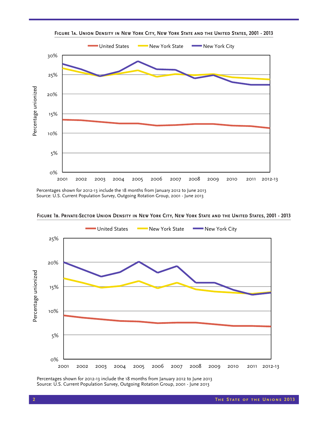

**Figure 1a. Union Density in New York City, New York State and the United States, 2001 - 2013**

Percentages shown for 2012-13 include the 18 months from January 2012 to June 2013



**Figure 1b. Private-Sector Union Density in New York City, New York State and the United States, 2001 - 2013**

Percentages shown for 2012-13 include the 18 months from January 2012 to June 2013 Source: U.S. Current Population Survey, Outgoing Rotation Group, 2001 - June 2013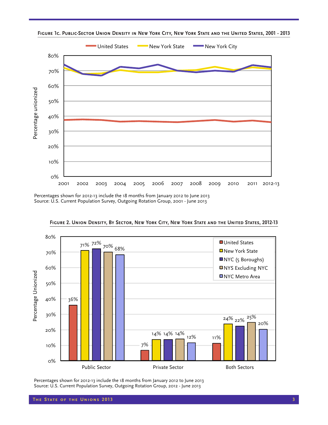

**Figure 1c. Public-Sector Union Density in New York City, New York State and the United States, 2001 - 2013**

Percentages shown for 2012-13 include the 18 months from January 2012 to June 2013 Source: U.S. Current Population Survey, Outgoing Rotation Group, 2001 - June 2013



**Figure 2. Union Density, By Sector, New York City, New York State and the United States, 2012-13**

Percentages shown for 2012-13 include the 18 months from January 2012 to June 2013 Source: U.S. Current Population Survey, Outgoing Rotation Group, 2012 - June 2013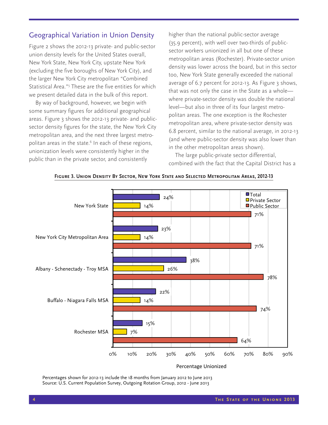## Geographical Variation in Union Density

Figure 2 shows the 2012-13 private- and public-sector union density levels for the United States overall, New York State, New York City, upstate New York (excluding the five boroughs of New York City), and the larger New York City metropolitan "Combined Statistical Area."5 These are the five entities for which we present detailed data in the bulk of this report.

By way of background, however, we begin with some summary figures for additional geographical areas. Figure 3 shows the 2012-13 private- and publicsector density figures for the state, the New York City metropolitan area, and the next three largest metropolitan areas in the state.<sup>6</sup> In each of these regions, unionization levels were consistently higher in the public than in the private sector, and consistently

higher than the national public-sector average (35.9 percent), with well over two-thirds of publicsector workers unionized in all but one of these metropolitan areas (Rochester). Private-sector union density was lower across the board, but in this sector too, New York State generally exceeded the national average of 6.7 percent for 2012-13. As Figure 3 shows, that was not only the case in the State as a whole where private-sector density was double the national level—but also in three of its four largest metropolitan areas. The one exception is the Rochester metropolitan area, where private-sector density was 6.8 percent, similar to the national average, in 2012-13 (and where public-sector density was also lower than in the other metropolitan areas shown).

The large public-private sector differential, combined with the fact that the Capital District has a



#### **Figure 3. Union Density By Sector, New York State and Selected Metropolitan Areas, 2012-13**

Percentages shown for 2012-13 include the 18 months from January 2012 to June 2013 Source: U.S. Current Population Survey, Outgoing Rotation Group, 2012 - June 2013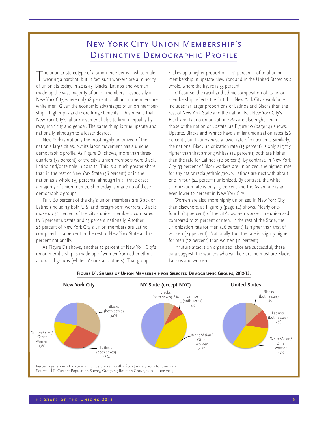# New York City Union Membership's Distinctive Demographic Profile

The popular stereotype of a union member is a white male<br>wearing a hardhat, but in fact such workers are a minority of unionists today. In 2012-13, Blacks, Latinos and women made up the vast majority of union members—especially in New York City, where only 18 percent of all union members are white men. Given the economic advantages of union membership—higher pay and more fringe benefits—this means that New York City's labor movement helps to limit inequality by race, ethnicity and gender. The same thing is true upstate and nationally, although to a lesser degree.

New York is not only the most highly unionized of the nation's large cities, but its labor movement has a unique demographic profile. As Figure D1 shows, more than threequarters (77 percent) of the city's union members were Black, Latino and/or female in 2012-13. This is a much greater share than in the rest of New York State (58 percent) or in the nation as a whole (59 percent), although in all three cases a majority of union membership today is made up of these demographic groups.

Fully 60 percent of the city's union members are Black or Latino (including both U.S. and foreign-born workers). Blacks make up 32 percent of the city's union members, compared to 8 percent upstate and 13 percent nationally. Another 28 percent of New York City's union members are Latino, compared to 9 percent in the rest of New York State and 14 percent nationally.

As Figure D1 shows, another 17 percent of New York City's union membership is made up of women from other ethnic and racial groups (whites, Asians and others). That group

makes up a higher proportion—41 percent—of total union membership in upstate New York and in the United States as a whole, where the figure is 33 percent.

Of course, the racial and ethnic composition of its union membership reflects the fact that New York City's workforce includes far larger proportions of Latinos and Blacks than the rest of New York State and the nation. But New York City's Black and Latino unionization *rates* are also higher than those of the nation or upstate, as Figure 10 (page 14) shows. Upstate, Blacks and Whites have similar unionization rates (26 percent); but Latinos have a lower rate of 21 percent. Similarly, the national Black unionization rate (13 percent) is only slightly higher than that among whites (12 percent); both are higher than the rate for Latinos (10 percent). By contrast, in New York City, 33 percent of Black workers are unionized, the highest rate for any major racial/ethnic group. Latinos are next with about one in four (24 percent) unionized. By contrast, the white unionization rate is only 19 percent and the Asian rate is an even lower 12 percent in New York City.

Women are also more highly unionized in New York City than elsewhere, as Figure 9 (page 14) shows. Nearly onefourth (24 percent) of the city's women workers are unionized, compared to 21 percent of men. In the rest of the State, the unionization rate for men (26 percent) is higher than that of women (23 percent). Nationally, too, the rate is slightly higher for men (12 percent) than women (11 percent).

If future attacks on organized labor are successful, these data suggest, the workers who will be hurt the most are Blacks, Latinos and women.



#### **Figure D1. Shares of Union Membership for Selected Demographic Groups, 2012-13.**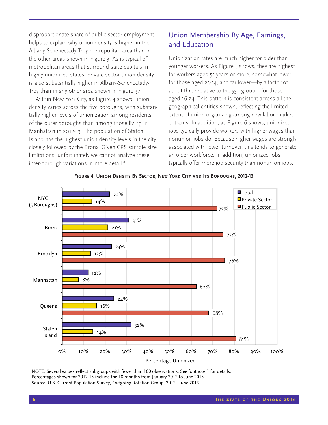disproportionate share of public-sector employment, helps to explain why union density is higher in the Albany-Schenectady-Troy metropolitan area than in the other areas shown in Figure 3. As is typical of metropolitan areas that surround state capitals in highly unionized states, private-sector union density is also substantially higher in Albany-Schenectady-Troy than in any other area shown in Figure 3.7

Within New York City, as Figure 4 shows, union density varies across the five boroughs, with substantially higher levels of unionization among residents of the outer boroughs than among those living in Manhattan in 2012-13. The population of Staten Island has the highest union density levels in the city, closely followed by the Bronx. Given CPS sample size limitations, unfortunately we cannot analyze these inter-borough variations in more detail.8

## Union Membership By Age, Earnings, and Education

Unionization rates are much higher for older than younger workers. As Figure 5 shows, they are highest for workers aged 55 years or more, somewhat lower for those aged 25-54, and far lower—by a factor of about three relative to the 55+ group—for those aged 16-24. This pattern is consistent across all the geographical entities shown, reflecting the limited extent of union organizing among new labor market entrants. In addition, as Figure 6 shows, unionized jobs typically provide workers with higher wages than nonunion jobs do. Because higher wages are strongly associated with lower turnover, this tends to generate an older workforce. In addition, unionized jobs typically offer more job security than nonunion jobs,



#### **Figure 4. Union Density By Sector, New York City and Its Boroughs, 2012-13**

NOTE: Several values reflect subgroups with fewer than 100 observations. See footnote 1 for details. Percentages shown for 2012-13 include the 18 months from January 2012 to June 2013 Source: U.S. Current Population Survey, Outgoing Rotation Group, 2012 - June 2013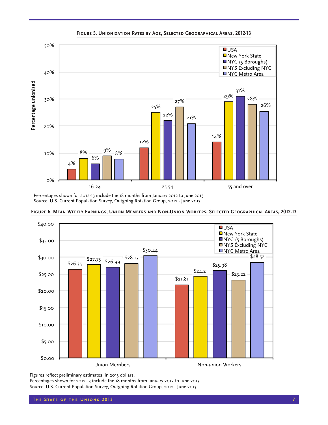

Percentages shown for 2012-13 include the 18 months from January 2012 to June 2013



**Figure 6. Mean Weekly Earnings, Union Members and Non-Union Workers, Selected Geographical Areas, 2012-13**

Figures reflect preliminary estimates, in 2013 dollars.

Percentages shown for 2012-13 include the 18 months from January 2012 to June 2013 Source: U.S. Current Population Survey, Outgoing Rotation Group, 2012 - June 2013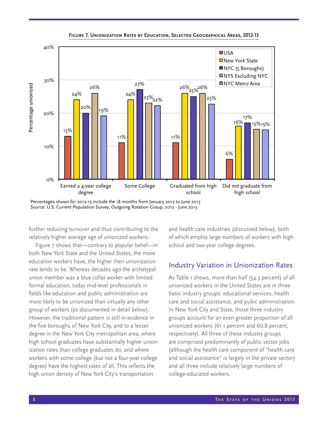

**Figure 7. Unionization Rates by Education, Selected Geographical Areas, 2012-13**

Percentages shown for 2012-13 include the 18 months from January 2012 to June 2013

further reducing turnover and thus contributing to the relatively higher average age of unionized workers.

Figure 7 shows that—contrary to popular belief—in both New York State and the United States, the more education workers have, the higher their unionization rate tends to be. Whereas decades ago the archetypal union member was a blue collar worker with limited formal education, today mid-level professionals in fields like education and public administration are more likely to be unionized than virtually any other group of workers (as documented in detail below). However, the traditional pattern is still in evidence in the five boroughs of New York City, and to a lesser degree in the New York City metropolitan area, where high school graduates have substantially higher unionization rates than college graduates do, and where workers with some college (but not a four-year college degree) have the highest rates of all. This reflects the high union density of New York City's transportation

and health care industries (discussed below), both of which employ large numbers of workers with high school and two-year college degrees.

## Industry Variation in Unionization Rates

As Table 1 shows, more than half (54.3 percent) of all unionized workers in the United States are in three basic industry groups: educational services, health care and social assistance, and pubic administration. In New York City and State, those three industry groups account for an even greater proportion of all unionized workers (61.1 percent and 60.8 percent, respectively). All three of these industry groups are comprised predominantly of public sector jobs (although the health care component of "health care and social assistance" is largely in the private sector) and all three include relatively large numbers of college-educated workers.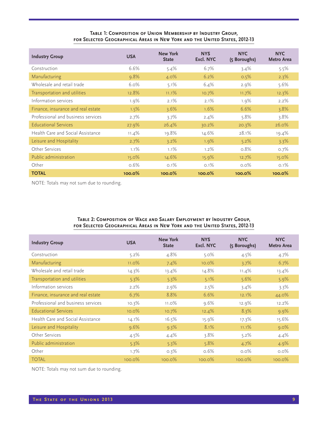#### **Table 1: Composition of Union Membership by Industry Group, for Selected Geographical Areas in New York and the United States, 2012-13**

| <b>Industry Group</b>              | <b>USA</b> | New York<br><b>State</b> | <b>NYS</b><br>Excl. NYC | <b>NYC</b><br>(5 Boroughs) | <b>NYC</b><br><b>Metro Area</b> |
|------------------------------------|------------|--------------------------|-------------------------|----------------------------|---------------------------------|
| Construction                       | 6.6%       | $5.4\%$                  | 6.7%                    | $3.4\%$                    | 5.5%                            |
| Manufacturing                      | 9.8%       | $4.0\%$                  | 6.2%                    | 0.5%                       | 2.3%                            |
| Wholesale and retail trade         | $6.0\%$    | 5.1%                     | $6.4\%$                 | 2.9%                       | $5.6\%$                         |
| Transportation and utilities       | 12.8%      | $11.1\%$                 | 10.7%                   | 11.7%                      | 12.3%                           |
| Information services               | $1.9\%$    | 2.1%                     | 2.1%                    | $1.9\%$                    | $2.2\%$                         |
| Finance, insurance and real estate | 1.5%       | 3.6%                     | $1.6\%$                 | 6.6%                       | 3.8%                            |
| Professional and business services | 2.7%       | $3.7\%$                  | $2.4\%$                 | $5.8\%$                    | $3.8\%$                         |
| <b>Educational Services</b>        | 27.9%      | 26.4%                    | 30.2%                   | 20.3%                      | 26.0%                           |
| Health Care and Social Assistance  | $11.4\%$   | 19.8%                    | 14.6%                   | 28.1%                      | 19.4%                           |
| Leisure and Hospitality            | 2.7%       | $3.2\%$                  | $1.9\%$                 | 5.2%                       | $3.3\%$                         |
| Other Services                     | 1.1%       | $1.1\%$                  | $1.2\%$                 | 0.8%                       | 0.7%                            |
| Public administration              | 15.0%      | 14.6%                    | 15.9%                   | 12.7%                      | 15.0%                           |
| Other                              | 0.6%       | $0.1\%$                  | $0.1\%$                 | $0.0\%$                    | 0.1%                            |
| <b>TOTAL</b>                       | 100.0%     | 100.0%                   | $100.0\%$               | 100.0%                     | 100.0%                          |

NOTE: Totals may not sum due to rounding.

#### **Table 2: Composition of Wage and Salary Employment by Industry Group, for Selected Geographical Areas in New York and the United States, 2012-13**

| <b>Industry Group</b>              | <b>USA</b> | <b>New York</b><br><b>State</b> | <b>NYS</b><br>Excl. NYC | <b>NYC</b><br>(5 Boroughs) | <b>NYC</b><br><b>Metro Area</b> |
|------------------------------------|------------|---------------------------------|-------------------------|----------------------------|---------------------------------|
| Construction                       | 5.2%       | 4.8%                            | $5.0\%$                 | 4.5%                       | 4.7%                            |
| Manufacturing                      | $11.0\%$   | 7.4%                            | $10.0\%$                | 3.7%                       | 6.7%                            |
| Wholesale and retail trade         | 14.3%      | 13.4%                           | 14.8%                   | $11.4\%$                   | 13.4%                           |
| Transportation and utilities       | 5.3%       | 5.3%                            | 5.1%                    | 5.6%                       | 5.9%                            |
| Information services               | 2.2%       | 2.9%                            | 2.5%                    | $3.4\%$                    | 3.3%                            |
| Finance, insurance and real estate | 6.7%       | 8.8%                            | 6.6%                    | 12.1%                      | 44.0%                           |
| Professional and business services | $10.3\%$   | $11.0\%$                        | $9.6\%$                 | 12.9%                      | 12.2%                           |
| <b>Educational Services</b>        | $10.0\%$   | 10.7%                           | 12.4%                   | 8.3%                       | 9.9%                            |
| Health Care and Social Assistance  | $14.1\%$   | 16.5%                           | 15.9%                   | 17.3%                      | 15.6%                           |
| Leisure and Hospitality            | 9.6%       | 9.3%                            | 8.1%                    | 11.1%                      | 9.0%                            |
| Other Services                     | 4.5%       | 4.4%                            | $3.8\%$                 | 5.2%                       | 4.4%                            |
| Public administration              | 5.3%       | 5.3%                            | 5.8%                    | 4.7%                       | 4.9%                            |
| Other                              | 1.7%       | 0.3%                            | 0.6%                    | $0.0\%$                    | $0.0\%$                         |
| <b>TOTAL</b>                       | $100.0\%$  | $100.0\%$                       | $100.0\%$               | $100.0\%$                  | $100.0\%$                       |

NOTE: Totals may not sum due to rounding.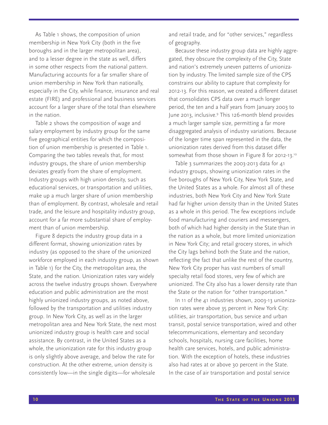As Table 1 shows, the composition of union membership in New York City (both in the five boroughs and in the larger metropolitan area), and to a lesser degree in the state as well, differs in some other respects from the national pattern. Manufacturing accounts for a far smaller share of union membership in New York than nationally, especially in the City, while finance, insurance and real estate (FIRE) and professional and business services account for a larger share of the total than elsewhere in the nation.

Table 2 shows the composition of wage and salary employment by industry group for the same five geographical entities for which the composition of union membership is presented in Table 1. Comparing the two tables reveals that, for most industry groups, the share of union membership deviates greatly from the share of employment. Industry groups with high union density, such as educational services, or transportation and utilities, make up a much larger share of union membership than of employment. By contrast, wholesale and retail trade, and the leisure and hospitality industry group, account for a far more substantial share of employment than of union membership.

Figure 8 depicts the industry group data in a different format, showing unionization rates by industry (as opposed to the share of the unionized workforce employed in each industry group, as shown in Table 1) for the City, the metropolitan area, the State, and the nation. Unionization rates vary widely across the twelve industry groups shown. Everywhere education and public administration are the most highly unionized industry groups, as noted above, followed by the transportation and utilities industry group. In New York City, as well as in the larger metropolitan area and New York State, the next most unionized industry group is health care and social assistance. By contrast, in the United States as a whole, the unionization rate for this industry group is only slightly above average, and below the rate for construction. At the other extreme, union density is consistently low—in the single digits—for wholesale

and retail trade, and for "other services," regardless of geography.

Because these industry group data are highly aggregated, they obscure the complexity of the City, State and nation's extremely uneven patterns of unionization by industry. The limited sample size of the CPS constrains our ability to capture that complexity for 2012-13. For this reason, we created a different dataset that consolidates CPS data over a much longer period, the ten and a half years from January 2003 to June 2013, inclusive.9 This 126-month blend provides a much larger sample size, permitting a far more disaggregated analysis of industry variations. Because of the longer time span represented in the data, the unionization rates derived from this dataset differ somewhat from those shown in Figure 8 for 2012-13.10

Table 3 summarizes the 2003-2013 data for 41 industry groups, showing unionization rates in the five boroughs of New York City, New York State, and the United States as a whole. For almost all of these industries, both New York City and New York State had far higher union density than in the United States as a whole in this period. The few exceptions include food manufacturing and couriers and messengers, both of which had higher density in the State than in the nation as a whole, but more limited unionization in New York City; and retail grocery stores, in which the City lags behind both the State and the nation, reflecting the fact that unlike the rest of the country, New York City proper has vast numbers of small specialty retail food stores, very few of which are unionized. The City also has a lower density rate than the State or the nation for "other transportation."

In 11 of the 41 industries shown, 2003-13 unionization rates were above 35 percent in New York City: utilities, air transportation, bus service and urban transit, postal service transportation, wired and other telecommunications, elementary and secondary schools, hospitals, nursing care facilities, home health care services, hotels, and public administration. With the exception of hotels, these industries also had rates at or above 30 percent in the State. In the case of air transportation and postal service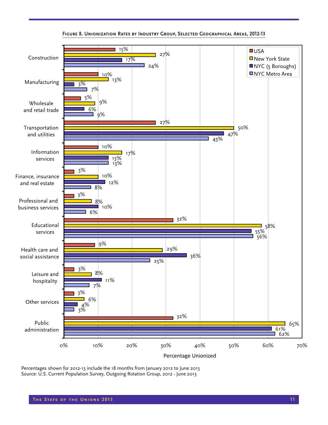

#### **Figure 8. Unionization Rates by Industry Group, Selected Geographical Areas, 2012-13**

Percentages shown for 2012-13 include the 18 months from January 2012 to June 2013 Source: U.S. Current Population Survey, Outgoing Rotation Group, 2012 - June 2013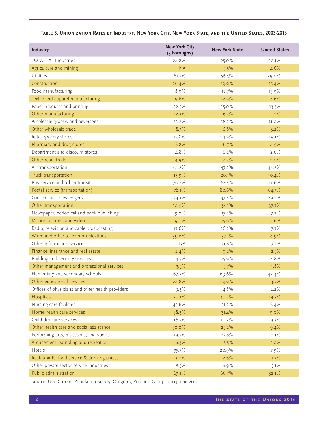| TABLE 3. UNIONIZATION RATES BY INDUSTRY, NEW YORK CITY, NEW YORK STATE, AND THE UNITED STATES, 2003-2013 |  |  |  |
|----------------------------------------------------------------------------------------------------------|--|--|--|
|----------------------------------------------------------------------------------------------------------|--|--|--|

| Industry                                         | <b>New York City</b><br>(5 boroughs) | <b>New York State</b> | <b>United States</b> |
|--------------------------------------------------|--------------------------------------|-----------------------|----------------------|
| TOTAL (All Industries)                           | 24.8%                                | 25.0%                 | 12.1%                |
| Agriculture and mining                           | <b>NA</b>                            | 3.5%                  | 4.6%                 |
| Utilities                                        | 61.5%                                | 56.5%                 | 29.0%                |
| Construction                                     | 26.4%                                | 29.9%                 | 15.4%                |
| Food manufacturing                               | 8.9%                                 | 17.7%                 | 15.9%                |
| Textile and apparel manufacturing                | 9.6%                                 | 12.9%                 | 4.6%                 |
| Paper products and printing                      | 22.5%                                | 15.0%                 | 13.3%                |
| Other manufacturing                              | 12.3%                                | 16.3%                 | 11.2%                |
| Wholesale grocery and beverages                  | 13.2%                                | 18.2%                 | 11.0%                |
| Other wholesale trade                            | 8.3%                                 | 6.8%                  | 3.2%                 |
| Retail grocery stores                            | 13.8%                                | 24.9%                 | 19.1%                |
| Pharmacy and drug stores                         | 8.8%                                 | 6.7%                  | 4.9%                 |
| Department and discount stores                   | 14.8%                                | 6.2%                  | 2.6%                 |
| Other retail trade                               | 4.9%                                 | 4.3%                  | 2.0%                 |
| Air transportation                               | 44.2%                                | 47.2%                 | 44.2%                |
| Truck transportation                             | 15.9%                                | 20.1%                 | 10.4%                |
| Bus service and urban transit                    | 76.2%                                | 64.5%                 | 41.6%                |
| Postal service (transportation)                  | 78.1%                                | 80.6%                 | 64.3%                |
| Couriers and messengers                          | 34.1%                                | 37.4%                 | 29.2%                |
| Other transportation                             | 20.9%                                | 34.1%                 | 37.7%                |
| Newspaper, periodical and book publishing        | 9.0%                                 | 13.2%                 | 7.2%                 |
| Motion pictures and video                        | 19.0%                                | 15.6%                 | 12.6%                |
| Radio, television and cable broadcasting         | 17.6%                                | 16.2%                 | 7.7%                 |
| Wired and other telecommunications               | 39.6%                                | 37.1%                 | 18.9%                |
| Other information services                       | <b>NA</b>                            | 31.8%                 | 17.5%                |
| Finance, insurance and real estate               | 12.4%                                | 9.2%                  | 2.5%                 |
| Building and security services                   | 24.5%                                | 15.9%                 | 4.8%                 |
| Other management and professional services       | 3.5%                                 | 3.7%                  | 1.8%                 |
| Elementary and secondary schools                 | 67.7%                                | 69.6%                 | 42.4%                |
| Other educational services                       | 24.8%                                | 29.9%                 | 13.7%                |
| Offices of physicians and other health providers | 9.3%                                 | 4.8%                  | 2.2%                 |
| Hospitals                                        | 50.1%                                | 40.2%                 | 14.5%                |
| Nursing care facilities                          | 43.6%                                | 31.2%                 | 8.4%                 |
| Home health care services                        | 38.3%                                | 31.4%                 | 9.0%                 |
| Child day care services                          | 16.5%                                | 10.2%                 | 3.3%                 |
| Other health care and social assistance          | 30.0%                                | 25.2%                 | 9.4%                 |
| Performing arts, museums, and sports             | 19.7%                                | 23.8%                 | 12.1%                |
| Amusement, gambling and recreation               | 6.3%                                 | 5.5%                  | 5.0%                 |
| Hotels                                           | 35.5%                                | 20.9%                 | 7.9%                 |
| Restaurants, food service & drinking places      | 3.0%                                 | 2.6%                  | 1.3%                 |
| Other private-sector service industries          | 8.5%                                 | 6.9%                  | 3.1%                 |
| Public administration                            | 63.1%                                | 66.7%                 | 32.1%                |

Source: U.S. Current Population Survey, Outgoing Rotation Group, 2003-June 2013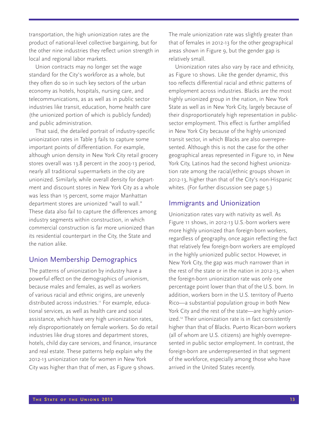transportation, the high unionization rates are the product of national-level collective bargaining, but for the other nine industries they reflect union strength in local and regional labor markets.

Union contracts may no longer set the wage standard for the City's workforce as a whole, but they often do so in such key sectors of the urban economy as hotels, hospitals, nursing care, and telecommunications, as as well as in public sector industries like transit, education, home health care (the unionized portion of which is publicly funded) and public administration.

That said, the detailed portrait of industry-specific unionization rates in Table 3 fails to capture some important points of differentiation. For example, although union density in New York City retail grocery stores overall was 13.8 percent in the 2003-13 period, nearly all traditional supermarkets in the city are unionized. Similarly, while overall density for department and discount stores in New York City as a whole was less than 15 percent, some major Manhattan department stores are unionized "wall to wall." These data also fail to capture the differences among industry segments within construction, in which commercial construction is far more unionized than its residential counterpart in the City, the State and the nation alike.

## Union Membership Demographics

The patterns of unionization by industry have a powerful effect on the demographics of unionism, because males and females, as well as workers of various racial and ethnic origins, are unevenly distributed across industries.<sup>11</sup> For example, educational services, as well as health care and social assistance, which have very high unionization rates, rely disproportionately on female workers. So do retail industries like drug stores and department stores, hotels, child day care services, and finance, insurance and real estate. These patterns help explain why the 2012-13 unionization rate for women in New York City was higher than that of men, as Figure 9 shows.

The male unionization rate was slightly greater than that of females in 2012-13 for the other geographical areas shown in Figure 9, but the gender gap is relatively small.

Unionization rates also vary by race and ethnicity, as Figure 10 shows. Like the gender dynamic, this too reflects differential racial and ethnic patterns of employment across industries. Blacks are the most highly unionized group in the nation, in New York State as well as in New York City, largely because of their disproportionately high representation in publicsector employment. This effect is further amplified in New York City because of the highly unionized transit sector, in which Blacks are also overrepresented. Although this is not the case for the other geographical areas represented in Figure 10, in New York City, Latinos had the second highest unionization rate among the racial/ethnic groups shown in 2012-13, higher than that of the City's non-Hispanic whites. (For further discussion see page 5.)

## Immigrants and Unionization

Unionization rates vary with nativity as well. As Figure 11 shows, in 2012-13 U.S.-born workers were more highly unionized than foreign-born workers, regardless of geography, once again reflecting the fact that relatively few foreign-born workers are employed in the highly unionized public sector. However, in New York City, the gap was much narrower than in the rest of the state or in the nation in 2012-13, when the foreign-born unionization rate was only one percentage point lower than that of the U.S. born. In addition, workers born in the U.S. territory of Puerto Rico—a substantial population group in both New York City and the rest of the state—are highly unionized.<sup>12</sup> Their unionization rate is in fact consistently higher than that of Blacks. Puerto Rican-born workers (all of whom are U.S. citizens) are highly overrepresented in public sector employment. In contrast, the foreign-born are underrepresented in that segment of the workforce, especially among those who have arrived in the United States recently.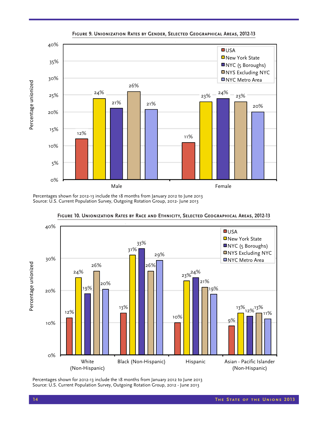

Percentages shown for 2012-13 include the 18 months from January 2012 to June 2013



Percentages shown for 2012-13 include the 18 months from January 2012 to June 2013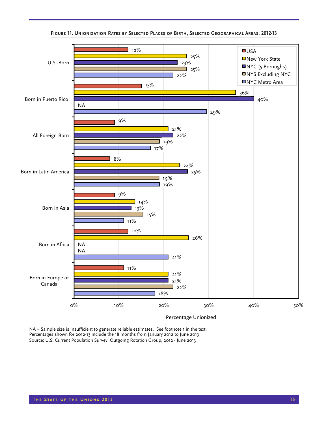

**Figure 11. Unionization Rates by Selected Places of Birth, Selected Geographical Areas, 2012-13**

NA = Sample size is insufficient to generate reliable estimates. See footnote 1 in the text. Percentages shown for 2012-13 include the 18 months from January 2012 to June 2013 Source: U.S. Current Population Survey, Outgoing Rotation Group, 2012 - June 2013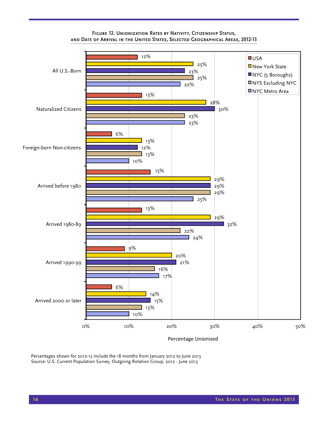

#### **Figure 12. Unionization Rates by Nativity, Citizenship Status, and Date of Arrival in the United States, Selected Geographical Areas, 2012-13**

Percentages shown for 2012-13 include the 18 months from January 2012 to June 2013 Source: U.S. Current Population Survey, Outgoing Rotation Group, 2012 - June 2013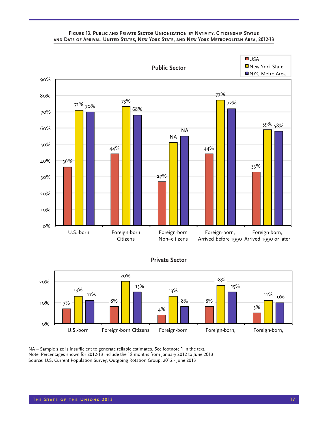#### **Figure 13. Public and Private Sector Unionization by Nativity, Citizenship Status and Date of Arrival, United States, New York State, and New York Metropolitan Area, 2012-13**



#### **Private Sector**



NA = Sample size is insufficient to generate reliable estimates. See footnote 1 in the text. Note: Percentages shown for 2012-13 include the 18 months from January 2012 to June 2013 Source: U.S. Current Population Survey, Outgoing Rotation Group, 2012 - June 2013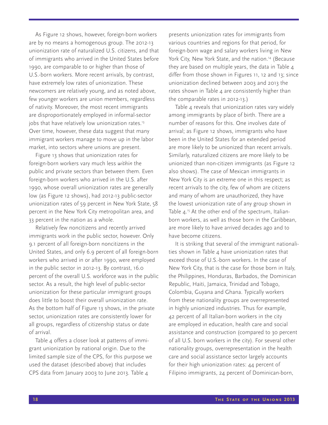As Figure 12 shows, however, foreign-born workers are by no means a homogenous group. The 2012-13 unionization rate of naturalized U.S. citizens, and that of immigrants who arrived in the United States before 1990, are comparable to or higher than those of U.S.-born workers. More recent arrivals, by contrast, have extremely low rates of unionization. These newcomers are relatively young, and as noted above, few younger workers are union members, regardless of nativity. Moreover, the most recent immigrants are disproportionately employed in informal-sector jobs that have relatively low unionization rates.<sup>13</sup> Over time, however, these data suggest that many immigrant workers manage to move up in the labor market, into sectors where unions are present.

Figure 13 shows that unionization rates for foreign-born workers vary much less *within* the public and private sectors than between them. Even foreign-born workers who arrived in the U.S. after 1990, whose overall unionization rates are generally low (as Figure 12 shows), had 2012-13 public-sector unionization rates of 59 percent in New York State, 58 percent in the New York City metropolitan area, and 33 percent in the nation as a whole.

Relatively few noncitizens and recently arrived immigrants work in the public sector, however. Only 9.1 percent of all foreign-born noncitizens in the United States, and only 6.9 percent of all foreign-born workers who arrived in or after 1990, were employed in the public sector in 2012-13. By contrast, 16.0 percent of the overall U.S. workforce was in the public sector. As a result, the high level of public-sector unionization for these particular immigrant groups does little to boost their overall unionization rate. As the bottom half of Figure 13 shows, in the private sector, unionization rates are consistently lower for all groups, regardless of citizenship status or date of arrival.

Table 4 offers a closer look at patterns of immigrant unionization by national origin. Due to the limited sample size of the CPS, for this purpose we used the dataset (described above) that includes CPS data from January 2003 to June 2013. Table 4

presents unionization rates for immigrants from various countries and regions for that period, for foreign-born wage and salary workers living in New York City, New York State, and the nation.<sup>14</sup> (Because they are based on multiple years, the data in Table 4 differ from those shown in Figures 11, 12 and 13; since unionization declined between 2003 and 2013 the rates shown in Table  $4$  are consistently higher than the comparable rates in 2012-13.)

Table 4 reveals that unionization rates vary widely among immigrants by place of birth. There are a number of reasons for this. One involves date of arrival; as Figure 12 shows, immigrants who have been in the United States for an extended period are more likely to be unionized than recent arrivals. Similarly, naturalized citizens are more likely to be unionized than non-citizen immigrants (as Figure 12 also shows). The case of Mexican immigrants in New York City is an extreme one in this respect; as recent arrivals to the city, few of whom are citizens and many of whom are unauthorized, they have the lowest unionization rate of any group shown in Table  $4.15$  At the other end of the spectrum, Italianborn workers, as well as those born in the Caribbean, are more likely to have arrived decades ago and to have become citizens.

It is striking that several of the immigrant nationalities shown in Table  $4$  have unionization rates that exceed those of U.S.-born workers. In the case of New York City, that is the case for those born in Italy, the Philippines, Honduras, Barbados, the Dominican Republic, Haiti, Jamaica, Trinidad and Tobago, Colombia, Guyana and Ghana. Typically workers from these nationality groups are overrepresented in highly unionized industries. Thus for example, 42 percent of all Italian-born workers in the city are employed in education, health care and social assistance and construction (compared to 30 percent of all U.S. born workers in the city). For several other nationality groups, overrepresentation in the health care and social assistance sector largely accounts for their high unionization rates: 44 percent of Filipino immigrants, 24 percent of Dominican-born,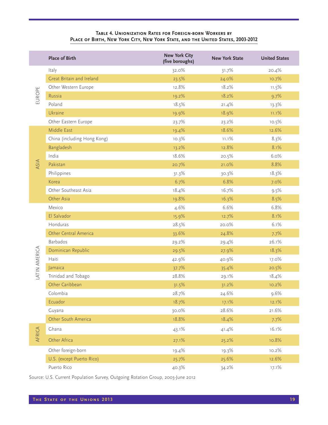#### **Table 4. Unionization Rates for Foreign-born Workers by**  PLACE OF BIRTH, NEW YORK CITY, NEW YORK STATE, AND THE UNITED STATES, 2003-2012

Other foreign-born 19.4% 19.4% 19.3% 10.2% U.S. (except Puerto Rico) 25.7% 25.6% 12.6% Puerto Rico 40.3% 34.2% 17.1%

|              | <b>Place of Birth</b>       | <b>New York City</b><br>(five boroughs) | <b>New York State</b> | <b>United States</b> |
|--------------|-----------------------------|-----------------------------------------|-----------------------|----------------------|
| EUROPE       | Italy                       | 32.0%                                   | 31.7%                 | 20.4%                |
|              | Great Britain and Ireland   | 23.5%                                   | 24.0%                 | 10.7%                |
|              | Other Western Europe        | 12.8%                                   | 18.2%                 | 11.5%                |
|              | Russia                      | 19.2%                                   | 18.2%                 | 9.7%                 |
|              | Poland                      | 18.5%                                   | 21.4%                 | 13.3%                |
|              | Ukraine                     | 19.9%                                   | 18.9%                 | 11.1%                |
|              | Other Eastern Europe        | 23.7%                                   | 23.2%                 | 10.5%                |
|              | Middle East                 | 19.4%                                   | 18.6%                 | 12.6%                |
|              | China (including Hong Kong) | 10.3%                                   | 11.1%                 | 8.3%                 |
|              | Bangladesh                  | 13.2%                                   | 12.8%                 | 8.1%                 |
|              | India                       | 18.6%                                   | 20.5%                 | 6.0%                 |
| ASIA         | Pakistan                    | 20.7%                                   | 21.0%                 | 8.8%                 |
|              | Philippines                 | 31.3%                                   | 30.3%                 | 18.3%                |
|              | Korea                       | 6.7%                                    | 6.8%                  | 7.0%                 |
|              | Other Southeast Asia        | 18.4%                                   | 16.7%                 | 9.5%                 |
|              | Other Asia                  | 19.8%                                   | 16.3%                 | 8.5%                 |
|              | Mexico                      | 4.6%                                    | 6.6%                  | 6.8%                 |
|              | El Salvador                 | 15.9%                                   | 12.7%                 | 8.1%                 |
|              | Honduras                    | 28.5%                                   | 20.0%                 | 6.1%                 |
|              | Other Central America       | 33.6%                                   | 24.8%                 | 7.7%                 |
|              | <b>Barbados</b>             | 29.2%                                   | 29.4%                 | 26.1%                |
| ATIN AMERICA | Dominican Republic          | 29.5%                                   | 27.9%                 | 18.3%                |
|              | Haiti                       | 42.9%                                   | 40.9%                 | 17.0%                |
|              | Jamaica                     | 37.7%                                   | 35.4%                 | 20.5%                |
|              | Trinidad and Tobago         | 28.8%                                   | 29.1%                 | 18.4%                |
|              | Other Caribbean             | 31.5%                                   | 31.2%                 | 10.2%                |
|              | Colombia                    | 28.7%                                   | 24.6%                 | 9.6%                 |
|              | Ecuador                     | 18.7%                                   | 17.1%                 | 12.1%                |
|              | Guyana                      | 30.0%                                   | 28.6%                 | 21.6%                |
|              | Other South America         | 18.8%                                   | 18.4%                 | 7.7%                 |
|              | Ghana                       | 43.1%                                   | 41.4%                 | 16.1%                |
| AFRICA       | Other Africa                | 27.1%                                   | 25.2%                 | 10.8%                |

Source: U.S. Current Population Survey, Outgoing Rotation Group, 2003-June 2012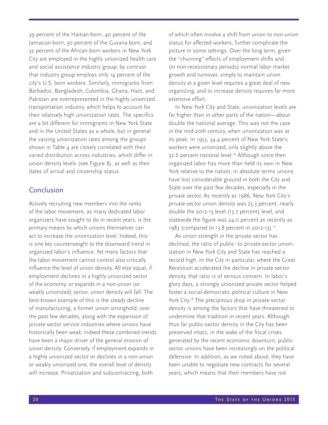39 percent of the Haitian-born, 40 percent of the Jamaican-born, 30 percent of the Guyana-born, and 32 percent of the African-born workers in New York City are employed in the highly unionized health care and social assistance industry group; by contrast that industry group employs only 14 percent of the city's U.S. born workers. Similarly, immigrants from Barbados, Bangladesh, Colombia, Ghana, Haiti, and Pakistan are overrepresented in the highly unionized transportation industry, which helps to account for their relatively high unionization rates. The specifics are a bit different for immigrants in New York State and in the United States as a whole, but in general the varying unionization rates among the groups shown in Table 4 are closely correlated with their varied distribution across industries, which differ in union density levels (see Figure 8), as well as their dates of arrival and citizenship status.

## Conclusion

Actively recruiting new members into the ranks of the labor movement, as many dedicated labor organizers have sought to do in recent years, is the primary means by which unions themselves can act to increase the unionization level. Indeed, this is one key counterweight to the downward trend in organized labor's influence. Yet many factors that the labor movement cannot control also critically influence the level of union density. All else equal, if employment declines in a highly unionized sector of the economy, or expands in a non-union (or weakly unionized) sector, union density will fall. The best-known example of this is the steady decline of manufacturing, a former union stronghold, over the past few decades, along with the expansion of private-sector service industries where unions have historically been weak; indeed these combined trends have been a major driver of the general erosion of union density. Conversely, if employment expands in a highly unionized sector or declines in a non-union or weakly unionized one, the overall level of density will increase. Privatization and subcontracting, both

of which often involve a shift from union to non-union status for affected workers, further complicate the picture in some settings. Over the long term, given the "churning" effects of employment shifts and (in non-recessionary periods) normal labor market growth and turnover, simply to maintain union density at a given level requires a great deal of new organizing; and to increase density requires far more extensive effort.

In New York City and State, unionization levels are far higher than in other parts of the nation—about double the national average. This was not the case in the mid-20th century, when unionization was at its peak: In 1953, 34.4 percent of New York State's workers were unionized, only slightly above the 32.6 percent national level.<sup>16</sup> Although since then organized labor has more than held its own in New York relative to the nation, in absolute terms unions have lost considerable ground in both the City and State over the past few decades, especially in the private sector. As recently as 1986, New York City's private-sector union density was 25.3 percent, nearly double the 2012-13 level (13.7 percent) level, and statewide the figure was 24.0 percent as recently as 1983 (compared to 13.8 percent in 2012-13).<sup>17</sup>

As union strength in the private sector has declined, the ratio of public- to private-sector unionization in New York City and State has reached a record high. In the City in particular, where the Great Recession accelerated the decline in private-sector density, that ratio is of serious concern. In labor's glory days, a strongly unionized private sector helped foster a social-democratic political culture in New York City.<sup>18</sup> The precipitous drop in private-sector density is among the factors that have threatened to undermine that tradition in recent years. Although thus far public-sector density in the City has been preserved intact, in the wake of the fiscal crises generated by the recent economic downturn, publicsector unions have been increasingly on the political defensive. In addition, as we noted above, they have been unable to negotiate new contracts for several years, which means that their members have not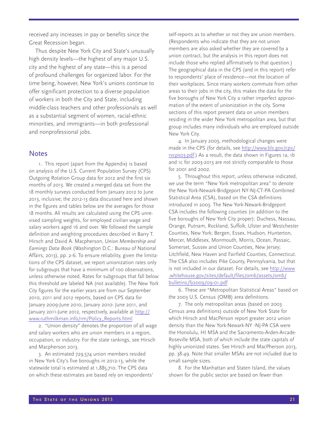received any increases in pay or benefits since the Great Recession began.

Thus despite New York City and State's unusually high density levels—the highest of any major U.S. city and the highest of any state—this is a period of profound challenges for organized labor. For the time being, however, New York's unions continue to offer significant protection to a diverse population of workers in both the City and State, including middle-class teachers and other professionals as well as a substantial segment of women, racial-ethnic minorities, and immigrants—in both professional and nonprofessional jobs.

### **Notes**

1. This report (apart from the Appendix) is based on analysis of the U.S. Current Population Survey (CPS) Outgoing Rotation Group data for 2012 and the first six months of 2013. We created a merged data set from the 18 monthly surveys conducted from January 2012 to June 2013, inclusive; the 2012-13 data discussed here and shown in the figures and tables below are the averages for those 18 months. All results are calculated using the CPS unrevised sampling weights, for employed civilian wage and salary workers aged 16 and over. We followed the sample definition and weighting procedures described in Barry T. Hirsch and David A. Macpherson, *Union Membership and Earnings Data Book* (Washington D.C.: Bureau of National Affairs, 2013), pp. 2-6. To ensure reliability, given the limitations of the CPS dataset, we report unionization rates only for subgroups that have a minimum of 100 observations, unless otherwise noted. Rates for subgroups that fall below this threshold are labeled NA (not available). The New York City figures for the earlier years are from our September 2010, 2011 and 2012 reports, based on CPS data for January 2009-June 2010, January 2010- June 2011, and January 2011-June 2012, respectively, available at http:// www.ruthmilkman.info/rm/Policy\_Reports.html

2. "Union density" denotes the proportion of all wage and salary workers who are union members in a region, occupation, or industry. For the state rankings, see Hirsch and Macpherson 2013.

3. An estimated 729,574 union members resided in New York City's five boroughs in 2012-13, while the statewide total is estimated at 1,885,710. The CPS data on which these estimates are based rely on respondents' self-reports as to whether or not they are union members. (Respondents who indicate that they are not union members are also asked whether they are covered by a union contract, but the analysis in this report does not include those who replied affirmatively to that question.) The geographical data in the CPS (and in this report) refer to respondents' place of residence—not the location of their workplaces. Since many workers commute from other areas to their jobs in the city, this makes the data for the five boroughs of New York City a rather imperfect approximation of the extent of unionization in the city. Some sections of this report present data on union members residing in the wider New York metropolitan area, but that group includes many individuals who are employed outside New York City.

4. In January 2003, methodological changes were made in the CPS (for details, see http://www.bls.gov/cps/ rvcps03.pdf.) As a result, the data shown in Figures 1a, 1b and 1c for 2003-2013 are not strictly comparable to those for 2001 and 2002.

5. Throughout this report, unless otherwise indicated, we use the term "New York metropolitan area" to denote the New York-Newark-Bridgeport NY-NJ-CT-PA Combined Statistical Area (CSA), based on the CSA definitions introduced in 2003. The New York-Newark-Bridgeport CSA includes the following counties (in addition to the five boroughs of New York City proper): Duchess, Nassau, Orange, Putnam, Rockland, Suffolk, Ulster and Westchester Counties, New York; Bergen, Essex, Hudson, Hunterton, Mercer, Middlesex, Monmouth, Morris, Ocean, Passaic, Somerset, Sussex and Union Counties, New Jersey; Litchfield, New Haven and Fairfield Counties, Connecticut. The CSA also includes Pike County, Pennsylvania, but that is not included in our dataset. For details, see http://www .whitehouse.gov/sites/default/files/omb/assets/omb/ bulletins/fy2009/09-01.pdf

6. These are "Metropolitan Statistical Areas" based on the 2003 U.S. Census (OMB) area definitions.

7. The only metropolitan areas (based on 2003 Census area definitions) outside of New York State for which Hirsch and MacPerson report greater 2012 union density than the New York-Newark-NY -NJ-PA CSA were the Honolulu, HI MSA and the Sacramento-Arden-Arcade-Roseville MSA, both of which include the state capitals of highly unionized states. See Hirsch and MacPherson 2013, pp. 38-49. Note that smaller MSAs are not included due to small sample sizes.

8. For the Manhattan and Staten Island, the values shown for the public sector are based on fewer than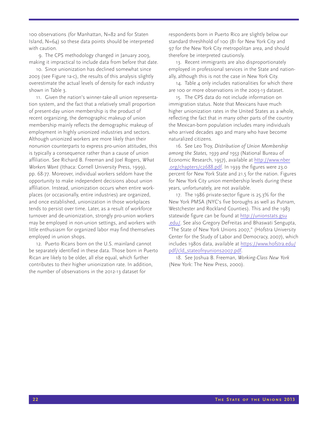100 observations (for Manhattan, N=82 and for Staten Island, N=64) so these data points should be interpreted with caution.

9. The CPS methodology changed in January 2003, making it impractical to include data from before that date.

10. Since unionization has declined somewhat since 2003 (see Figure 1a-c), the results of this analysis slightly overestimate the actual levels of density for each industry shown in Table 3.

11. Given the nation's winner-take-all union representation system, and the fact that a relatively small proportion of present-day union membership is the product of recent organizing, the demographic makeup of union membership mainly reflects the demographic makeup of employment in highly unionized industries and sectors. Although unionized workers are more likely than their nonunion counterparts to express pro-union attitudes, this is typically a consequence rather than a cause of union affiliation. See Richard B. Freeman and Joel Rogers, *What Workers Want* (Ithaca: Cornell University Press, 1999), pp. 68-77. Moreover, individual workers seldom have the opportunity to make independent decisions about union affiliation. Instead, unionization occurs when entire workplaces (or occasionally, entire industries) are organized, and once established, unionization in those workplaces tends to persist over time. Later, as a result of workforce turnover and de-unionization, strongly pro-union workers may be employed in non-union settings, and workers with little enthusiasm for organized labor may find themselves employed in union shops.

12. Puerto Ricans born on the U.S. mainland cannot be separately identified in these data. Those born in Puerto Rican are likely to be older, all else equal, which further contributes to their higher unionization rate. In addition, the number of observations in the 2012-13 dataset for

respondents born in Puerto Rico are slightly below our standard threshhold of 100 (81 for New York City and 97 for the New York City metropolitan area, and should therefore be interpreted cautionsly.

13. Recent immigrants are also disproportionately employed in professional services in the State and nationally, although this is not the case in New York City.

14. Table 4 only includes nationalities for which there are 100 or more observations in the 2003-13 dataset.

15. The CPS data do not include information on immigration status. Note that Mexicans have much higher unionization rates in the United States as a whole, reflecting the fact that in many other parts of the country the Mexican-born population includes many individuals who arrived decades ago and many who have become naturalized citizens.

16. See Leo Troy, *Distribution of Union Membership among the States, 1939 and 1953* (National Bureau of Economic Research, 1957), available at http://www.nber .org/chapters/c2688.pdf. In 1939 the figures were 23.0 percent for New York State and 21.5 for the nation. Figures for New York City union membership levels during these years, unfortunately, are not available.

17. The 1986 private-sector figure is 25.3% for the New York PMSA (NYC's five boroughs as well as Putnam, Westchester and Rockland Counties). This and the 1983 statewide figure can be found at http://unionstats.gsu .edu/. See also Gregory DeFreitas and Bhaswati Sengupta, "The State of New York Unions 2007," (Hofstra University Center for the Study of Labor and Democracy, 2007), which includes 1980s data, available at https://www.hofstra.edu/ pdf/cld\_stateofnyunions2007.pdf.

18. See Joshua B. Freeman, *Working-Class New York* (New York: The New Press, 2000).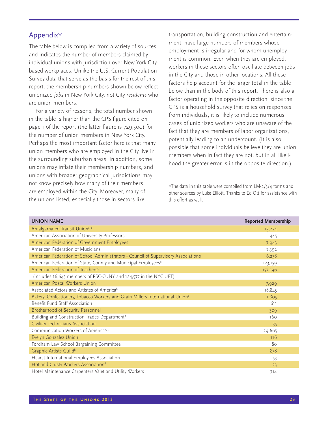## Appendix\*

The table below is compiled from a variety of sources and indicates the number of members claimed by individual unions with jurisdiction over New York Citybased workplaces. Unlike the U.S. Current Population Survey data that serve as the basis for the rest of this report, the membership numbers shown below reflect unionized *jobs* in New York City, not City *residents* who are union members.

For a variety of reasons, the total number shown in the table is higher than the CPS figure cited on page 1 of the report (the latter figure is 729,500) for the number of union members in New York City. Perhaps the most important factor here is that many union members who are employed in the City live in the surrounding suburban areas. In addition, some unions may inflate their membership numbers, and unions with broader geographical jurisdictions may not know precisely how many of their members are employed within the City. Moreover, many of the unions listed, especially those in sectors like

transportation, building construction and entertainment, have large numbers of members whose employment is irregular and for whom unemployment is common. Even when they are employed, workers in these sectors often oscillate between jobs in the City and those in other locations. All these factors help account for the larger total in the table below than in the body of this report. There is also a factor operating in the opposite direction: since the CPS is a household survey that relies on responses from individuals, it is likely to include numerous cases of unionized workers who are unaware of the fact that they are members of labor organizations, potentially leading to an undercount. (It is also possible that some individuals believe they are union members when in fact they are not, but in all likelihood the greater error is in the opposite direction.)

\*The data in this table were compiled from LM-2/3/4 forms and other sources by Luke Elliott. Thanks to Ed Ott for assistance with this effort as well.

| <b>UNION NAME</b>                                                                         | <b>Reported Membership</b> |
|-------------------------------------------------------------------------------------------|----------------------------|
| Amalgamated Transit Uniona, c                                                             | 15,274                     |
| American Association of University Professors                                             | 445                        |
| American Federation of Government Employees                                               | 7,943                      |
| American Federation of Musicians <sup>b</sup>                                             | 7,392                      |
| American Federation of School Administrators - Council of Supervisory Associations        | 6,238                      |
| American Federation of State, County and Municipal Employees <sup>c</sup>                 | 123,159                    |
| American Federation of Teachers <sup>c</sup>                                              | 157,596                    |
| (includes 16,645 members of PSC-CUNY and 124,577 in the NYC UFT)                          |                            |
| American Postal Workers Union                                                             | 7,929                      |
| Associated Actors and Artistes of America <sup>b</sup>                                    | 18,845                     |
| Bakery, Confectionery, Tobacco Workers and Grain Millers International Union <sup>c</sup> | 1,805                      |
| Benefit Fund Staff Association                                                            | 611                        |
| Brotherhood of Security Personnel                                                         | 309                        |
| Building and Construction Trades Department <sup>b</sup>                                  | 160                        |
| Civilian Technicians Association                                                          | 35                         |
| Communication Workers of America <sup>a, c</sup>                                          | 29,665                     |
| Evelyn Gonzalez Union                                                                     | 116                        |
| Fordham Law School Bargaining Committee                                                   | 80                         |
| Graphic Artists Guild <sup>b</sup>                                                        | 838                        |
| Hearst International Employees Association                                                | 153                        |
| Hot and Crusty Workers Association <sup>d</sup>                                           | 23                         |
| Hotel Maintenance Carpenters Valet and Utility Workers                                    | 714                        |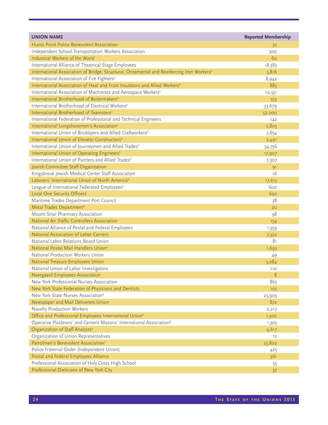| <b>UNION NAME</b>                                                                                      | <b>Reported Membership</b> |
|--------------------------------------------------------------------------------------------------------|----------------------------|
| Hunts Point Police Benevolent Association                                                              | 32                         |
| Independent School Transportation Workers Association                                                  | 300                        |
| Industrial Workers of the World                                                                        | 60                         |
| International Alliance of Theatrical Stage Employees                                                   | 18,583                     |
| International Association of Bridge, Structural, Ornamental and Reinforcing Iron Workers <sup>b</sup>  | 5,816                      |
| International Association of Fire Fighters <sup>a</sup>                                                | 8,942                      |
| International Association of Heat and Frost Insulators and Allied Workers <sup>b</sup>                 | 883                        |
| International Association of Machinists and Aerospace Workerse                                         | 10,551                     |
| International Brotherhood of Boilermakers <sup>b</sup>                                                 | 553                        |
| International Brotherhood of Electrical Workers <sup>b</sup>                                           | 33,679                     |
| International Brotherhood of Teamsters <sup>c</sup>                                                    | 52,000                     |
| International Federation of Professional and Technical Engineers                                       | 142                        |
| International Longshoremen's Association <sup>c</sup>                                                  | 2,805                      |
| International Union of Bricklayers and Allied Craftworkers <sup>b</sup>                                | 7,654                      |
| International Union of Elevator Constructors <sup>b</sup>                                              | 2,491                      |
| International Union of Journeymen and Allied Trades <sup>b</sup>                                       | 34,756                     |
| International Union of Operating Engineers <sup>b</sup>                                                | 17,907                     |
| International Union of Painters and Allied Trades <sup>b</sup>                                         | 7,307                      |
| Jewish Committee Staff Organization                                                                    | 91                         |
| Kingsbrook Jewish Medical Center Staff Association                                                     | 16                         |
| Laborers' International Union of North Americab                                                        | 17,613                     |
| League of International Federated Employees <sup>c</sup>                                               | 600                        |
| Local One Security Officers                                                                            | 692                        |
| Maritime Trades Department Port Council                                                                | 38                         |
| Metal Trades Department <sup>b</sup>                                                                   | 20                         |
| Mount Sinai Pharmacy Association                                                                       | 98                         |
| National Air Traffic Controllers Association                                                           | 154                        |
| National Alliance of Postal and Federal Employees                                                      |                            |
| National Association of Letter Carriers                                                                | 1,359<br>7,322             |
| National Labor Relations Board Union                                                                   | 81                         |
| National Postal Mail Handlers Union <sup>c</sup>                                                       | 1,693                      |
| National Production Workers Union                                                                      |                            |
| National Treasury Employees Union                                                                      | 49                         |
| National Union of Labor Investigators                                                                  | 3,084                      |
|                                                                                                        | 110                        |
| Neergaard Employees Association<br>New York Professional Nurses Association                            | 8                          |
|                                                                                                        | 863                        |
| New York State Federation of Physicians and Dentists<br>New York State Nurses Association <sup>e</sup> | 105                        |
| Newspaper and Mail Deliverers Union                                                                    | 23,903                     |
|                                                                                                        | 872                        |
| Novelty Production Workers                                                                             | 2,217                      |
| Office and Professional Employees International Union <sup>c</sup>                                     | 1,500                      |
| Operative Plasterers' and Cement Masons' International Association <sup>b</sup>                        | 1,303                      |
| Organization of Staff Analysts <sup>a</sup>                                                            | 4,617                      |
| Organization of Union Representatives                                                                  | 12                         |
| Patrolmen's Benevolent Association <sup>a</sup>                                                        | 23,802                     |
| Police Fraternal Order (Independent Union)                                                             | 425                        |
| Postal and Federal Employees Alliance                                                                  | 361                        |
| Professional Association of Holy Cross High School                                                     | 55                         |
| Professional Dieticians of New York City                                                               | 37                         |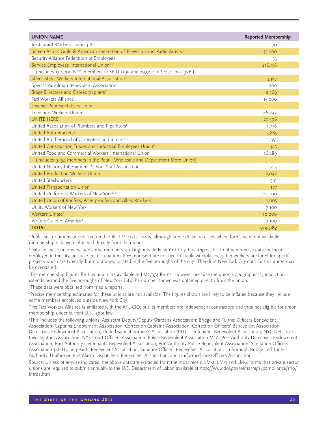| <b>UNION NAME</b>                                                             | <b>Reported Membership</b> |
|-------------------------------------------------------------------------------|----------------------------|
| Restaurant Workers Union 318                                                  | 170                        |
| Screen Actors Guild & American Federation of Television and Radio Artistsb, c | 35,000                     |
| Security Alliance Federation of Employees                                     | 33                         |
| Service Employees International Uniona, c                                     | 216,156                    |
| (includes 130,000 NYC members in SEIU 1199 and 70,000 in SEIU Local 32B-J)    |                            |
| Sheet Metal Workers International Association <sup>b</sup>                    | 3,387                      |
| Special Patrolman Benevolent Association                                      | 200                        |
| Stage Directors and Choreographers <sup>b</sup>                               | 2,569                      |
| Taxi Workers Alliancef                                                        | 15,000                     |
| Teacher Representatives Union                                                 | $\overline{1}$             |
| Transport Workers Union <sup>a</sup>                                          | 46,242                     |
| <b>UNITE HERE®</b>                                                            | 29,596                     |
| United Association of Plumbers and Pipefitters <sup>b</sup>                   | 11,776                     |
| United Auto Workers <sup>e</sup>                                              | 13,885                     |
| United Brotherhood of Carpenters and Joinersb,c                               | 15,351                     |
| United Construction Trades and Industrial Employees Union <sup>b</sup>        | 443                        |
| United Food and Commercial Workers International Union <sup>c</sup>           | 16,289                     |
| (includes 9,154 members in the Retail, Wholesale and Department Store Union)  |                            |
| United Nations International School Staff Association                         | 213                        |
| United Production Workers Union                                               | 2,042                      |
| <b>United Steelworkers</b>                                                    | 561                        |
| United Transportation Union                                                   | 177                        |
| United Uniformed Workers of New York <sup>d, g</sup>                          | 125,000                    |
| United Union of Roofers, Waterproofers and Allied Workers <sup>b</sup>        | 1,005                      |
| Utility Workers of New York <sup>c</sup>                                      | 7,100                      |
| Workers United <sup>c</sup>                                                   | 10,000                     |
| Writers Guild of Americab                                                     | 2,100                      |
| <b>TOTAL</b>                                                                  | 1,231,187                  |

a Public sector unions are not required to file LM-2/3/4 forms, although some do so; in cases where forms were not available, membership data were obtained directly from the union.

b Data for these unions include some members working outside New York City. It is impossible to obtain precise data for those employed in the city, because the occupations they represent are not tied to stable workplaces; rather workers are hired for specific projects which are typically, but not always, located in the five boroughs of the city. Therefore New York City data for this union may be overstated.

The membership figures for this union are available in LM2/3/4 forms. However because the union's geographical jurisdiction extends beyond the five boroughs of New York City, the number shown was obtained directly from the union.

d These data were obtained from media reports.

e Precise membership estimates for these unions are not available. The figures shown are likely to be inflated because they include some members employed outside New York City.

f The Taxi Workers Alliance is affiliated with the AFL-CIO, but its members are independent contractors and thus not eligible for union membership under current U.S. labor law.

g This includes the following unions: Assistant Deputy/Deputy Wardens Association; Bridge and Tunnel Officers Benevolent Association; Captains Endowment Association; Correction Captains Association; Correction Officers' Benevolent Association; Detectives Endowment Association; United Sanitationmen's Association (IBT); Lieutenants Benevolent Association; NYC Detective Investigators Association; NYS Court Officers Association; Police Benevolent Association MTA; Port Authority Detectives Endowment Association; Port Authority Lieutenants Benevolent Association; Port Authority Police Benevolent Association; Sanitation Officers Association (SEIU); Sergeants Benevolent Association; Superior Officers Benevolent Association - Triborough Bridge and Tunnel Authority; Uniformed Fire Alarm Dispatchers Benevolent Association; and Uniformed Fire Officers Association.

Source: Unless otherwise indicated, the above data are extracted from the most recent LM-2, LM-3 and LM-4 forms that private sector unions are required to submit annually to the U.S. Department of Labor, available at http://www.dol.gov/olms/regs/compliance/rrlo/ lmrda.htm